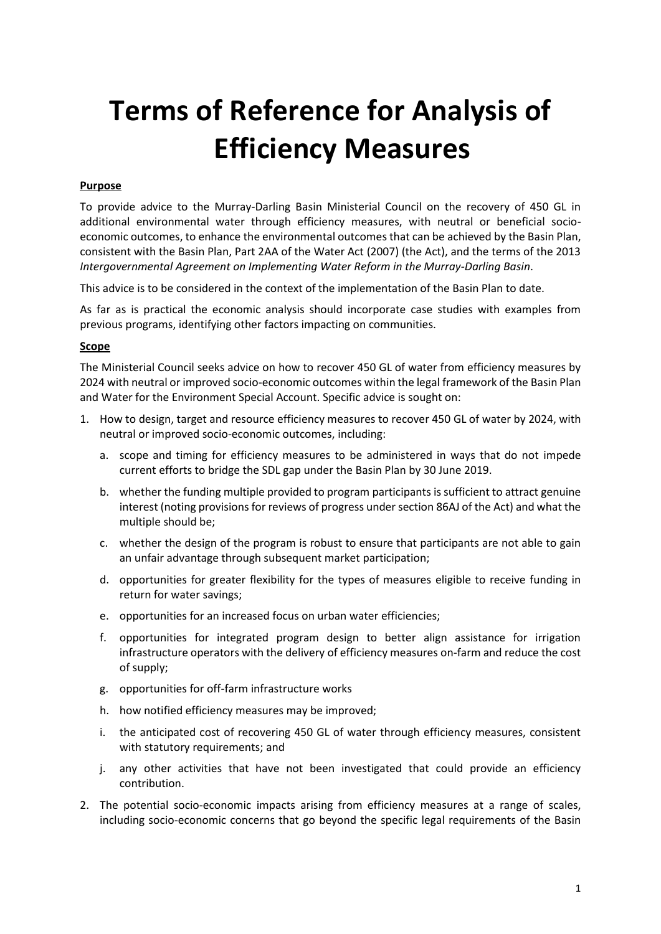## **Terms of Reference for Analysis of Efficiency Measures**

## **Purpose**

To provide advice to the Murray-Darling Basin Ministerial Council on the recovery of 450 GL in additional environmental water through efficiency measures, with neutral or beneficial socioeconomic outcomes, to enhance the environmental outcomes that can be achieved by the Basin Plan, consistent with the Basin Plan, Part 2AA of the Water Act (2007) (the Act), and the terms of the 2013 *Intergovernmental Agreement on Implementing Water Reform in the Murray-Darling Basin*.

This advice is to be considered in the context of the implementation of the Basin Plan to date.

As far as is practical the economic analysis should incorporate case studies with examples from previous programs, identifying other factors impacting on communities.

## **Scope**

The Ministerial Council seeks advice on how to recover 450 GL of water from efficiency measures by 2024 with neutral or improved socio-economic outcomes within the legal framework of the Basin Plan and Water for the Environment Special Account. Specific advice is sought on:

- 1. How to design, target and resource efficiency measures to recover 450 GL of water by 2024, with neutral or improved socio-economic outcomes, including:
	- a. scope and timing for efficiency measures to be administered in ways that do not impede current efforts to bridge the SDL gap under the Basin Plan by 30 June 2019.
	- b. whether the funding multiple provided to program participants is sufficient to attract genuine interest (noting provisions for reviews of progress under section 86AJ of the Act) and what the multiple should be;
	- c. whether the design of the program is robust to ensure that participants are not able to gain an unfair advantage through subsequent market participation;
	- d. opportunities for greater flexibility for the types of measures eligible to receive funding in return for water savings;
	- e. opportunities for an increased focus on urban water efficiencies;
	- f. opportunities for integrated program design to better align assistance for irrigation infrastructure operators with the delivery of efficiency measures on-farm and reduce the cost of supply;
	- g. opportunities for off-farm infrastructure works
	- h. how notified efficiency measures may be improved;
	- i. the anticipated cost of recovering 450 GL of water through efficiency measures, consistent with statutory requirements; and
	- j. any other activities that have not been investigated that could provide an efficiency contribution.
- 2. The potential socio-economic impacts arising from efficiency measures at a range of scales, including socio-economic concerns that go beyond the specific legal requirements of the Basin